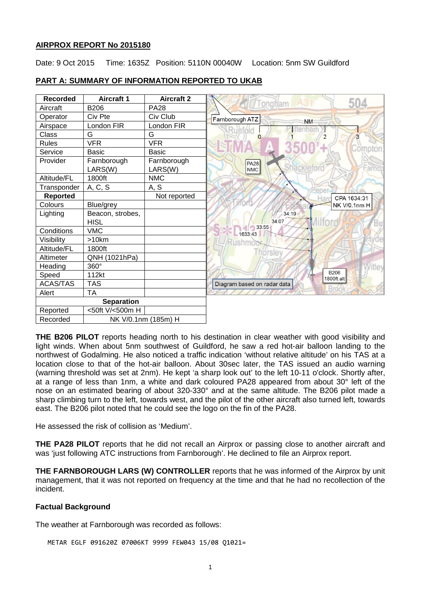### **AIRPROX REPORT No 2015180**

Date: 9 Oct 2015 Time: 1635Z Position: 5110N 00040W Location: 5nm SW Guildford

| <b>Recorded</b>   | <b>Aircraft 1</b>               | <b>Aircraft 2</b> | 504                         |
|-------------------|---------------------------------|-------------------|-----------------------------|
| Aircraft          | <b>B206</b>                     | <b>PA28</b>       | Tongham                     |
| Operator          | Civ Pte                         | Civ Club          | Farnborough ATZ             |
| Airspace          | London FIR                      | London FIR        | <b>NM</b>                   |
| Class             | G                               | G                 | 2<br>3                      |
| <b>Rules</b>      | <b>VFR</b>                      | <b>VFR</b>        |                             |
| Service           | <b>Basic</b>                    | <b>Basic</b>      | compton                     |
| Provider          | Farnborough                     | Farnborough       | <b>PA28</b><br>acklefe      |
|                   | LARS(W)                         | LARS(W)           | <b>NMC</b>                  |
| Altitude/FL       | 1800ft                          | <b>NMC</b>        |                             |
| Transponder       | A, C, S                         | A, S              |                             |
| <b>Reported</b>   |                                 | Not reported      | CPA 1634:31                 |
| Colours           | Blue/grey                       |                   | NK V/0.1nm H                |
| Lighting          | Beacon, strobes,<br><b>HISL</b> |                   | 34:19<br>34:07              |
| Conditions        | <b>VMC</b>                      |                   | 33:55<br>1633:43            |
| Visibility        | >10km                           |                   |                             |
| Altitude/FL       | 1800ft                          |                   | Thursley                    |
| Altimeter         | QNH (1021hPa)                   |                   |                             |
| Heading           | 360°                            |                   |                             |
| Speed             | 112kt                           |                   | <b>B206</b><br>1800ft alt   |
| <b>ACAS/TAS</b>   | <b>TAS</b>                      |                   | Diagram based on radar data |
| Alert             | <b>TA</b>                       |                   |                             |
| <b>Separation</b> |                                 |                   |                             |
| Reported          | <50ft V/<500m H                 |                   |                             |
| Recorded          | NK V/0.1nm (185m) H             |                   |                             |

# **PART A: SUMMARY OF INFORMATION REPORTED TO UKAB**

**THE B206 PILOT** reports heading north to his destination in clear weather with good visibility and light winds. When about 5nm southwest of Guildford, he saw a red hot-air balloon landing to the northwest of Godalming. He also noticed a traffic indication 'without relative altitude' on his TAS at a location close to that of the hot-air balloon. About 30sec later, the TAS issued an audio warning (warning threshold was set at 2nm). He kept 'a sharp look out' to the left 10-11 o'clock. Shortly after, at a range of less than 1nm, a white and dark coloured PA28 appeared from about 30° left of the nose on an estimated bearing of about 320-330° and at the same altitude. The B206 pilot made a sharp climbing turn to the left, towards west, and the pilot of the other aircraft also turned left, towards east. The B206 pilot noted that he could see the logo on the fin of the PA28.

He assessed the risk of collision as 'Medium'.

**THE PA28 PILOT** reports that he did not recall an Airprox or passing close to another aircraft and was 'just following ATC instructions from Farnborough'. He declined to file an Airprox report.

**THE FARNBOROUGH LARS (W) CONTROLLER** reports that he was informed of the Airprox by unit management, that it was not reported on frequency at the time and that he had no recollection of the incident.

# **Factual Background**

The weather at Farnborough was recorded as follows:

METAR EGLF 091620Z 07006KT 9999 FEW043 15/08 Q1021=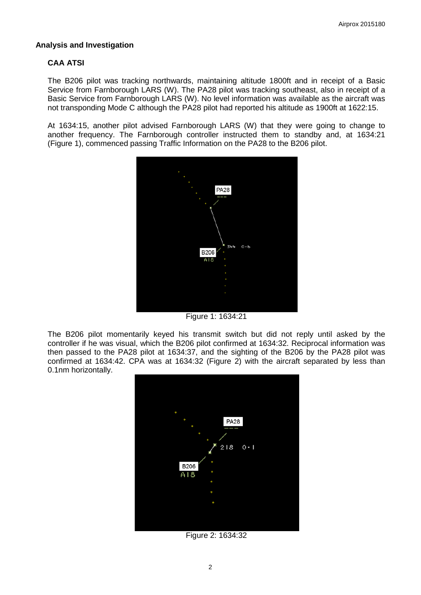# **Analysis and Investigation**

# **CAA ATSI**

The B206 pilot was tracking northwards, maintaining altitude 1800ft and in receipt of a Basic Service from Farnborough LARS (W). The PA28 pilot was tracking southeast, also in receipt of a Basic Service from Farnborough LARS (W). No level information was available as the aircraft was not transponding Mode C although the PA28 pilot had reported his altitude as 1900ft at 1622:15.

At 1634:15, another pilot advised Farnborough LARS (W) that they were going to change to another frequency. The Farnborough controller instructed them to standby and, at 1634:21 (Figure 1), commenced passing Traffic Information on the PA28 to the B206 pilot.



Figure 1: 1634:21

The B206 pilot momentarily keyed his transmit switch but did not reply until asked by the controller if he was visual, which the B206 pilot confirmed at 1634:32. Reciprocal information was then passed to the PA28 pilot at 1634:37, and the sighting of the B206 by the PA28 pilot was confirmed at 1634:42. CPA was at 1634:32 (Figure 2) with the aircraft separated by less than 0.1nm horizontally.



Figure 2: 1634:32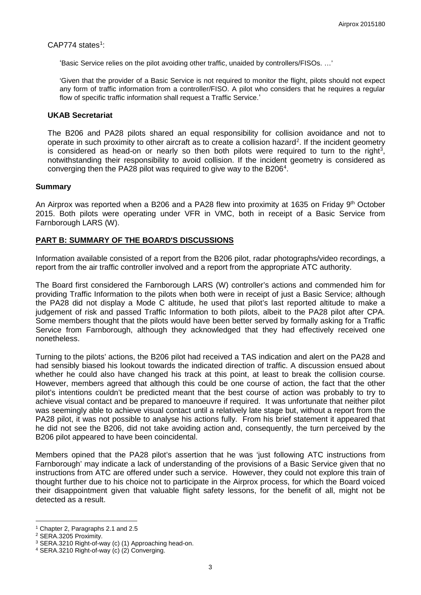$CAP774$  states<sup>1</sup>:

'Basic Service relies on the pilot avoiding other traffic, unaided by controllers/FISOs. …'

'Given that the provider of a Basic Service is not required to monitor the flight, pilots should not expect any form of traffic information from a controller/FISO. A pilot who considers that he requires a regular flow of specific traffic information shall request a Traffic Service.'

#### **UKAB Secretariat**

The B206 and PA28 pilots shared an equal responsibility for collision avoidance and not to operate in such proximity to other aircraft as to create a collision hazard<sup>[2](#page-2-1)</sup>. If the incident geometry is considered as head-on or nearly so then both pilots were required to turn to the right<sup>[3](#page-2-2)</sup>, notwithstanding their responsibility to avoid collision. If the incident geometry is considered as converging then the PA28 pilot was required to give way to the B206 $4$ .

### **Summary**

An Airprox was reported when a B206 and a PA28 flew into proximity at 1635 on Friday 9<sup>th</sup> October 2015. Both pilots were operating under VFR in VMC, both in receipt of a Basic Service from Farnborough LARS (W).

# **PART B: SUMMARY OF THE BOARD'S DISCUSSIONS**

Information available consisted of a report from the B206 pilot, radar photographs/video recordings, a report from the air traffic controller involved and a report from the appropriate ATC authority.

The Board first considered the Farnborough LARS (W) controller's actions and commended him for providing Traffic Information to the pilots when both were in receipt of just a Basic Service; although the PA28 did not display a Mode C altitude, he used that pilot's last reported altitude to make a judgement of risk and passed Traffic Information to both pilots, albeit to the PA28 pilot after CPA. Some members thought that the pilots would have been better served by formally asking for a Traffic Service from Farnborough, although they acknowledged that they had effectively received one nonetheless.

Turning to the pilots' actions, the B206 pilot had received a TAS indication and alert on the PA28 and had sensibly biased his lookout towards the indicated direction of traffic. A discussion ensued about whether he could also have changed his track at this point, at least to break the collision course. However, members agreed that although this could be one course of action, the fact that the other pilot's intentions couldn't be predicted meant that the best course of action was probably to try to achieve visual contact and be prepared to manoeuvre if required. It was unfortunate that neither pilot was seemingly able to achieve visual contact until a relatively late stage but, without a report from the PA28 pilot, it was not possible to analyse his actions fully. From his brief statement it appeared that he did not see the B206, did not take avoiding action and, consequently, the turn perceived by the B206 pilot appeared to have been coincidental.

Members opined that the PA28 pilot's assertion that he was 'just following ATC instructions from Farnborough' may indicate a lack of understanding of the provisions of a Basic Service given that no instructions from ATC are offered under such a service. However, they could not explore this train of thought further due to his choice not to participate in the Airprox process, for which the Board voiced their disappointment given that valuable flight safety lessons, for the benefit of all, might not be detected as a result.

 $\overline{\phantom{a}}$ 

<span id="page-2-0"></span><sup>1</sup> Chapter 2, Paragraphs 2.1 and 2.5

<span id="page-2-1"></span><sup>2</sup> SERA.3205 Proximity.

<span id="page-2-2"></span><sup>3</sup> SERA.3210 Right-of-way (c) (1) Approaching head-on.

<span id="page-2-3"></span><sup>4</sup> SERA.3210 Right-of-way (c) (2) Converging.